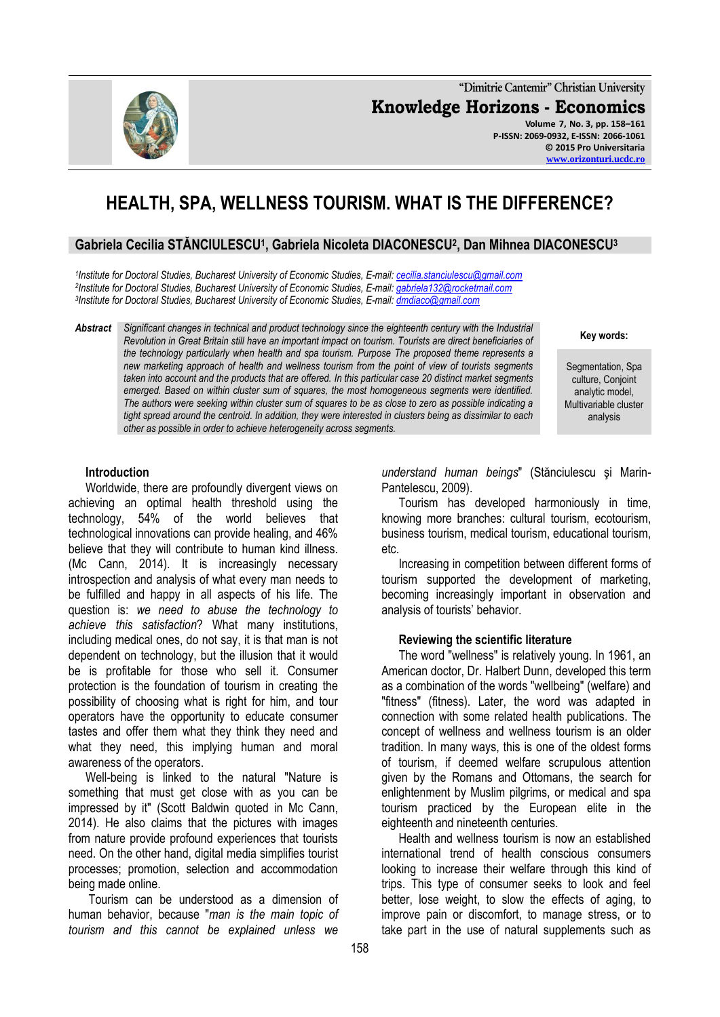**"Dimitrie Cantemir" Christian University Knowledge Horizons - Economics Volume 7, No. 3, pp. 158–161 P-ISSN: 2069-0932, E-ISSN: 2066-1061 © 2015 Pro Universitaria**

# **HEALTH, SPA, WELLNESS TOURISM. WHAT IS THE DIFFERENCE?**

## **Gabriela Cecilia STĂNCIULESCU<sup>1</sup> , Gabriela Nicoleta DIACONESCU<sup>2</sup> , Dan Mihnea DIACONESCU<sup>3</sup>**

*1 Institute for Doctoral Studies, Bucharest University of Economic Studies, E-mail: [cecilia.stanciulescu@gmail.com](mailto:cecilia.stanciulescu@gmail.com) 2 Institute for Doctoral Studies, Bucharest University of Economic Studies, E-mail: [gabriela132@rocketmail.com](mailto:gabriela132@rocketmail.com) 3 Institute for Doctoral Studies, Bucharest University of Economic Studies, E-mail: [dmdiaco@gmail.com](mailto:dmdiaco@gmail.com)*

#### *Abstract Significant changes in technical and product technology since the eighteenth century with the Industrial Revolution in Great Britain still have an important impact on tourism. Tourists are direct beneficiaries of the technology particularly when health and spa tourism. Purpose The proposed theme represents a new marketing approach of health and wellness tourism from the point of view of tourists segments taken into account and the products that are offered. In this particular case 20 distinct market segments emerged. Based on within cluster sum of squares, the most homogeneous segments were identified. The authors were seeking within cluster sum of squares to be as close to zero as possible indicating a tight spread around the centroid. In addition, they were interested in clusters being as dissimilar to each other as possible in order to achieve heterogeneity across segments.*

**Key words:**

Segmentation, Spa culture, Conjoint analytic model, Multivariable cluster analysis

## **Introduction**

Worldwide, there are profoundly divergent views on achieving an optimal health threshold using the technology, 54% of the world believes that technological innovations can provide healing, and 46% believe that they will contribute to human kind illness. (Mc Cann, 2014). It is increasingly necessary introspection and analysis of what every man needs to be fulfilled and happy in all aspects of his life. The question is: *we need to abuse the technology to achieve this satisfaction*? What many institutions, including medical ones, do not say, it is that man is not dependent on technology, but the illusion that it would be is profitable for those who sell it. Consumer protection is the foundation of tourism in creating the possibility of choosing what is right for him, and tour operators have the opportunity to educate consumer tastes and offer them what they think they need and what they need, this implying human and moral awareness of the operators.

Well-being is linked to the natural "Nature is something that must get close with as you can be impressed by it" (Scott Baldwin quoted in Mc Cann, 2014). He also claims that the pictures with images from nature provide profound experiences that tourists need. On the other hand, digital media simplifies tourist processes; promotion, selection and accommodation being made online.

Tourism can be understood as a dimension of human behavior, because "*man is the main topic of tourism and this cannot be explained unless we* 

*understand human beings*" (Stănciulescu şi Marin-Pantelescu, 2009).

Tourism has developed harmoniously in time, knowing more branches: cultural tourism, ecotourism, business tourism, medical tourism, educational tourism, etc.

Increasing in competition between different forms of tourism supported the development of marketing, becoming increasingly important in observation and analysis of tourists' behavior.

### **Reviewing the scientific literature**

The word "wellness" is relatively young. In 1961, an American doctor, Dr. Halbert Dunn, developed this term as a combination of the words "wellbeing" (welfare) and "fitness" (fitness). Later, the word was adapted in connection with some related health publications. The concept of wellness and wellness tourism is an older tradition. In many ways, this is one of the oldest forms of tourism, if deemed welfare scrupulous attention given by the Romans and Ottomans, the search for enlightenment by Muslim pilgrims, or medical and spa tourism practiced by the European elite in the eighteenth and nineteenth centuries.

Health and wellness tourism is now an established international trend of health conscious consumers looking to increase their welfare through this kind of trips. This type of consumer seeks to look and feel better, lose weight, to slow the effects of aging, to improve pain or discomfort, to manage stress, or to take part in the use of natural supplements such as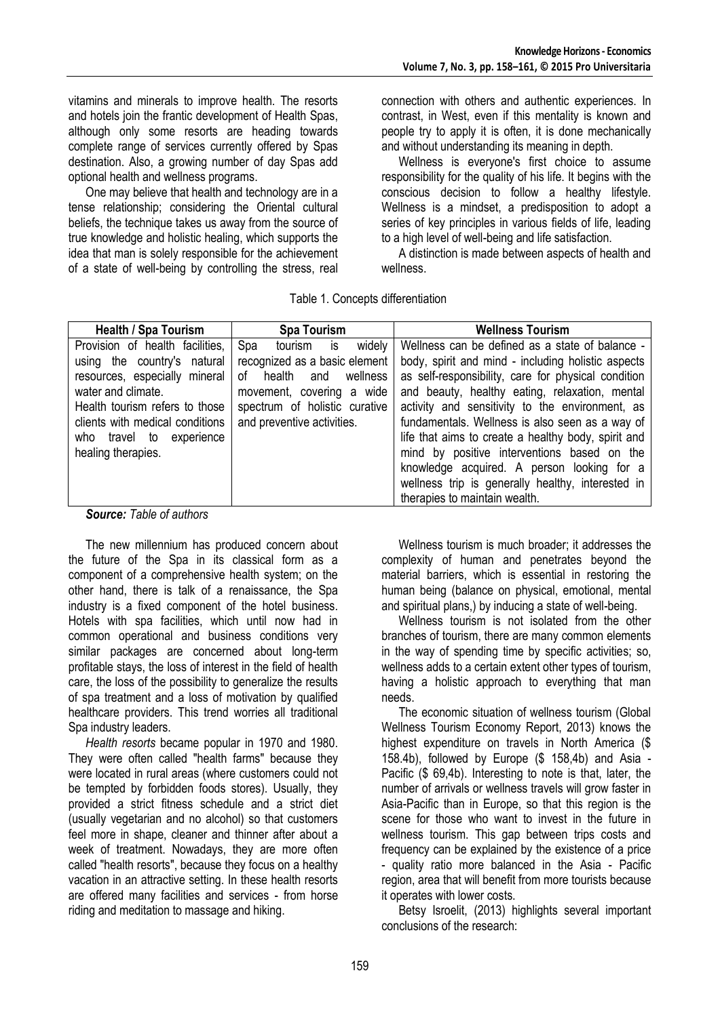vitamins and minerals to improve health. The resorts and hotels join the frantic development of Health Spas, although only some resorts are heading towards complete range of services currently offered by Spas destination. Also, a growing number of day Spas add optional health and wellness programs.

One may believe that health and technology are in a tense relationship; considering the Oriental cultural beliefs, the technique takes us away from the source of true knowledge and holistic healing, which supports the idea that man is solely responsible for the achievement of a state of well-being by controlling the stress, real

connection with others and authentic experiences. In contrast, in West, even if this mentality is known and people try to apply it is often, it is done mechanically and without understanding its meaning in depth.

Wellness is everyone's first choice to assume responsibility for the quality of his life. It begins with the conscious decision to follow a healthy lifestyle. Wellness is a mindset, a predisposition to adopt a series of key principles in various fields of life, leading to a high level of well-being and life satisfaction.

A distinction is made between aspects of health and wellness.

Table 1. Concepts differentiation

| <b>Health / Spa Tourism</b>     | <b>Spa Tourism</b>              | <b>Wellness Tourism</b>                             |
|---------------------------------|---------------------------------|-----------------------------------------------------|
| Provision of health facilities. | widely<br>Spa<br>is<br>tourism  | Wellness can be defined as a state of balance -     |
| using the country's natural     | recognized as a basic element   | body, spirit and mind - including holistic aspects  |
| resources, especially mineral   | wellness<br>health<br>οf<br>and | as self-responsibility, care for physical condition |
| water and climate.              | movement, covering a wide       | and beauty, healthy eating, relaxation, mental      |
| Health tourism refers to those  | spectrum of holistic curative   | activity and sensitivity to the environment, as     |
| clients with medical conditions | and preventive activities.      | fundamentals. Wellness is also seen as a way of     |
| who travel to experience        |                                 | life that aims to create a healthy body, spirit and |
| healing therapies.              |                                 | mind by positive interventions based on the         |
|                                 |                                 | knowledge acquired. A person looking for a          |
|                                 |                                 | wellness trip is generally healthy, interested in   |
|                                 |                                 | therapies to maintain wealth.                       |

*Source: Table of authors*

The new millennium has produced concern about the future of the Spa in its classical form as a component of a comprehensive health system; on the other hand, there is talk of a renaissance, the Spa industry is a fixed component of the hotel business. Hotels with spa facilities, which until now had in common operational and business conditions very similar packages are concerned about long-term profitable stays, the loss of interest in the field of health care, the loss of the possibility to generalize the results of spa treatment and a loss of motivation by qualified healthcare providers. This trend worries all traditional Spa industry leaders.

*Health resorts* became popular in 1970 and 1980. They were often called "health farms" because they were located in rural areas (where customers could not be tempted by forbidden foods stores). Usually, they provided a strict fitness schedule and a strict diet (usually vegetarian and no alcohol) so that customers feel more in shape, cleaner and thinner after about a week of treatment. Nowadays, they are more often called "health resorts", because they focus on a healthy vacation in an attractive setting. In these health resorts are offered many facilities and services - from horse riding and meditation to massage and hiking.

Wellness tourism is much broader; it addresses the complexity of human and penetrates beyond the material barriers, which is essential in restoring the human being (balance on physical, emotional, mental and spiritual plans,) by inducing a state of well-being.

Wellness tourism is not isolated from the other branches of tourism, there are many common elements in the way of spending time by specific activities; so, wellness adds to a certain extent other types of tourism, having a holistic approach to everything that man needs.

The economic situation of wellness tourism (Global Wellness Tourism Economy Report, 2013) knows the highest expenditure on travels in North America (\$ 158.4b), followed by Europe (\$ 158,4b) and Asia - Pacific (\$ 69,4b). Interesting to note is that, later, the number of arrivals or wellness travels will grow faster in Asia-Pacific than in Europe, so that this region is the scene for those who want to invest in the future in wellness tourism. This gap between trips costs and frequency can be explained by the existence of a price - quality ratio more balanced in the Asia - Pacific region, area that will benefit from more tourists because it operates with lower costs.

Betsy Isroelit, (2013) highlights several important conclusions of the research: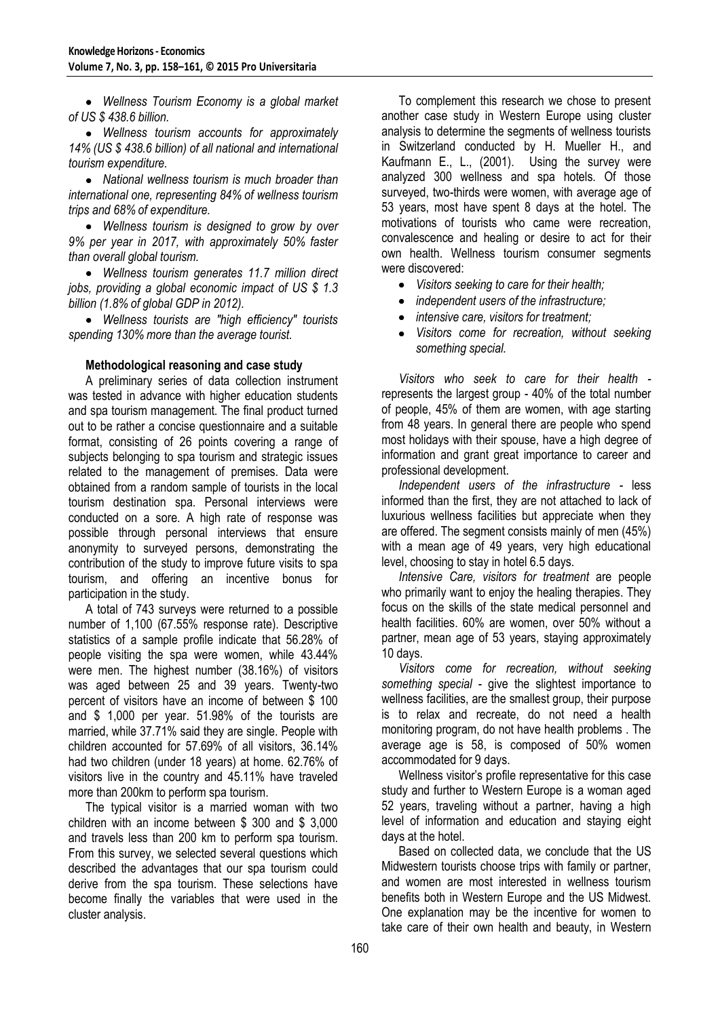*Wellness Tourism Economy is a global market of US \$ 438.6 billion.*

*Wellness tourism accounts for approximately 14% (US \$ 438.6 billion) of all national and international tourism expenditure.*

*National wellness tourism is much broader than international one, representing 84% of wellness tourism trips and 68% of expenditure.*

*Wellness tourism is designed to grow by over 9% per year in 2017, with approximately 50% faster than overall global tourism.*

*Wellness tourism generates 11.7 million direct jobs, providing a global economic impact of US \$ 1.3 billion (1.8% of global GDP in 2012).*

*Wellness tourists are "high efficiency" tourists spending 130% more than the average tourist.*

## **Methodological reasoning and case study**

A preliminary series of data collection instrument was tested in advance with higher education students and spa tourism management. The final product turned out to be rather a concise questionnaire and a suitable format, consisting of 26 points covering a range of subjects belonging to spa tourism and strategic issues related to the management of premises. Data were obtained from a random sample of tourists in the local tourism destination spa. Personal interviews were conducted on a sore. A high rate of response was possible through personal interviews that ensure anonymity to surveyed persons, demonstrating the contribution of the study to improve future visits to spa tourism, and offering an incentive bonus for participation in the study.

A total of 743 surveys were returned to a possible number of 1,100 (67.55% response rate). Descriptive statistics of a sample profile indicate that 56.28% of people visiting the spa were women, while 43.44% were men. The highest number (38.16%) of visitors was aged between 25 and 39 years. Twenty-two percent of visitors have an income of between \$ 100 and \$ 1,000 per year. 51.98% of the tourists are married, while 37.71% said they are single. People with children accounted for 57.69% of all visitors, 36.14% had two children (under 18 years) at home. 62.76% of visitors live in the country and 45.11% have traveled more than 200km to perform spa tourism.

The typical visitor is a married woman with two children with an income between \$ 300 and \$ 3,000 and travels less than 200 km to perform spa tourism. From this survey, we selected several questions which described the advantages that our spa tourism could derive from the spa tourism. These selections have become finally the variables that were used in the cluster analysis.

To complement this research we chose to present another case study in Western Europe using cluster analysis to determine the segments of wellness tourists in Switzerland conducted by H. Mueller H., and Kaufmann E., L., (2001). Using the survey were analyzed 300 wellness and spa hotels. Of those surveyed, two-thirds were women, with average age of 53 years, most have spent 8 days at the hotel. The motivations of tourists who came were recreation, convalescence and healing or desire to act for their own health. Wellness tourism consumer segments were discovered:

- *Visitors seeking to care for their health;*
- *independent users of the infrastructure;*
- *intensive care, visitors for treatment;*  $\bullet$
- $\bullet$ *Visitors come for recreation, without seeking something special.*

*Visitors who seek to care for their health*  represents the largest group - 40% of the total number of people, 45% of them are women, with age starting from 48 years. In general there are people who spend most holidays with their spouse, have a high degree of information and grant great importance to career and professional development.

*Independent users of the infrastructure -* less informed than the first, they are not attached to lack of luxurious wellness facilities but appreciate when they are offered. The segment consists mainly of men (45%) with a mean age of 49 years, very high educational level, choosing to stay in hotel 6.5 days.

*Intensive Care, visitors for treatment* are people who primarily want to enjoy the healing therapies. They focus on the skills of the state medical personnel and health facilities. 60% are women, over 50% without a partner, mean age of 53 years, staying approximately 10 days.

*Visitors come for recreation, without seeking something special* - give the slightest importance to wellness facilities, are the smallest group, their purpose is to relax and recreate, do not need a health monitoring program, do not have health problems . The average age is 58, is composed of 50% women accommodated for 9 days.

Wellness visitor's profile representative for this case study and further to Western Europe is a woman aged 52 years, traveling without a partner, having a high level of information and education and staying eight days at the hotel.

Based on collected data, we conclude that the US Midwestern tourists choose trips with family or partner, and women are most interested in wellness tourism benefits both in Western Europe and the US Midwest. One explanation may be the incentive for women to take care of their own health and beauty, in Western